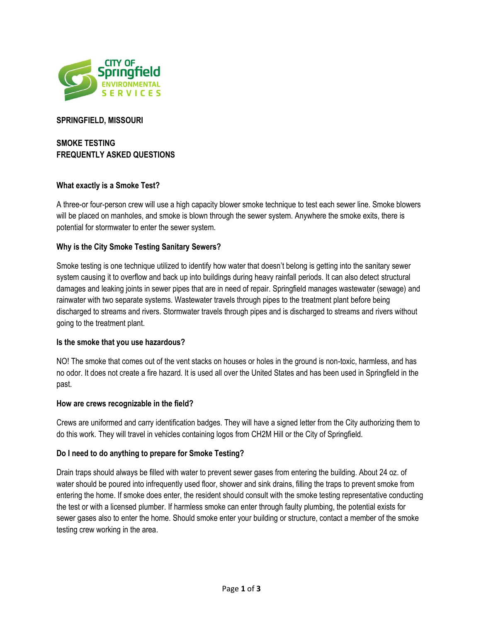

# **SPRINGFIELD, MISSOURI**

# **SMOKE TESTING FREQUENTLY ASKED QUESTIONS**

### **What exactly is a Smoke Test?**

A three-or four-person crew will use a high capacity blower smoke technique to test each sewer line. Smoke blowers will be placed on manholes, and smoke is blown through the sewer system. Anywhere the smoke exits, there is potential for stormwater to enter the sewer system.

### **Why is the City Smoke Testing Sanitary Sewers?**

Smoke testing is one technique utilized to identify how water that doesn't belong is getting into the sanitary sewer system causing it to overflow and back up into buildings during heavy rainfall periods. It can also detect structural damages and leaking joints in sewer pipes that are in need of repair. Springfield manages wastewater (sewage) and rainwater with two separate systems. Wastewater travels through pipes to the treatment plant before being discharged to streams and rivers. Stormwater travels through pipes and is discharged to streams and rivers without going to the treatment plant.

#### **Is the smoke that you use hazardous?**

NO! The smoke that comes out of the vent stacks on houses or holes in the ground is non-toxic, harmless, and has no odor. It does not create a fire hazard. It is used all over the United States and has been used in Springfield in the past.

#### **How are crews recognizable in the field?**

Crews are uniformed and carry identification badges. They will have a signed letter from the City authorizing them to do this work. They will travel in vehicles containing logos from CH2M Hill or the City of Springfield.

#### **Do I need to do anything to prepare for Smoke Testing?**

Drain traps should always be filled with water to prevent sewer gases from entering the building. About 24 oz. of water should be poured into infrequently used floor, shower and sink drains, filling the traps to prevent smoke from entering the home. If smoke does enter, the resident should consult with the smoke testing representative conducting the test or with a licensed plumber. If harmless smoke can enter through faulty plumbing, the potential exists for sewer gases also to enter the home. Should smoke enter your building or structure, contact a member of the smoke testing crew working in the area.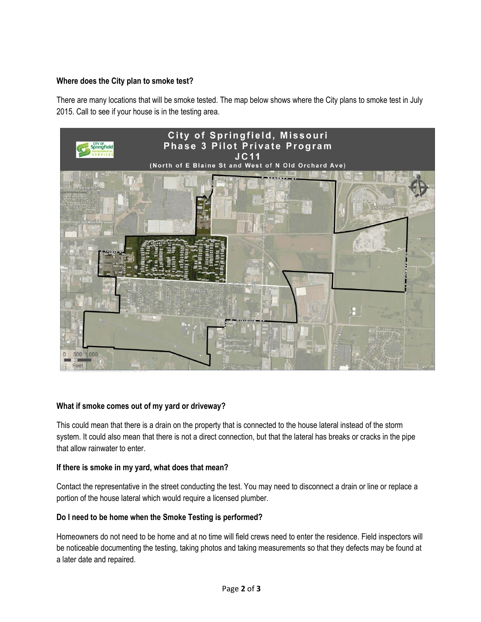# **Where does the City plan to smoke test?**

There are many locations that will be smoke tested. The map below shows where the City plans to smoke test in July 2015. Call to see if your house is in the testing area.



### **What if smoke comes out of my yard or driveway?**

This could mean that there is a drain on the property that is connected to the house lateral instead of the storm system. It could also mean that there is not a direct connection, but that the lateral has breaks or cracks in the pipe that allow rainwater to enter.

### **If there is smoke in my yard, what does that mean?**

Contact the representative in the street conducting the test. You may need to disconnect a drain or line or replace a portion of the house lateral which would require a licensed plumber.

### **Do I need to be home when the Smoke Testing is performed?**

Homeowners do not need to be home and at no time will field crews need to enter the residence. Field inspectors will be noticeable documenting the testing, taking photos and taking measurements so that they defects may be found at a later date and repaired.